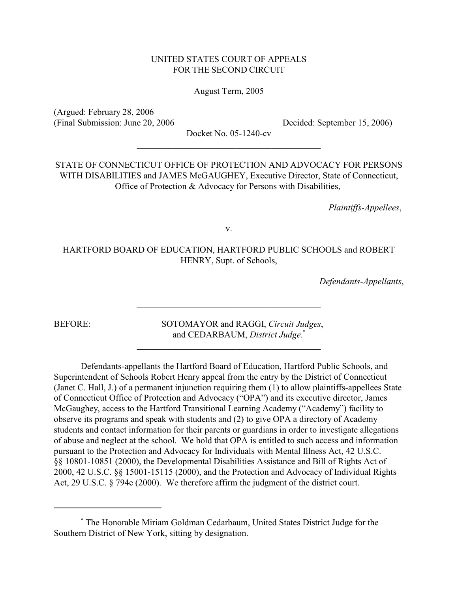# UNITED STATES COURT OF APPEALS FOR THE SECOND CIRCUIT

## August Term, 2005

(Argued: February 28, 2006 (Final Submission: June 20, 2006 Decided: September 15, 2006)

Docket No. 05-1240-cv  $\overline{\phantom{a}}$  , and the set of the set of the set of the set of the set of the set of the set of the set of the set of the set of the set of the set of the set of the set of the set of the set of the set of the set of the s

STATE OF CONNECTICUT OFFICE OF PROTECTION AND ADVOCACY FOR PERSONS WITH DISABILITIES and JAMES McGAUGHEY, Executive Director, State of Connecticut, Office of Protection & Advocacy for Persons with Disabilities,

*Plaintiffs-Appellees*,

v.

HARTFORD BOARD OF EDUCATION, HARTFORD PUBLIC SCHOOLS and ROBERT HENRY, Supt. of Schools,

 $\overline{\phantom{a}}$  , and the set of the set of the set of the set of the set of the set of the set of the set of the set of the set of the set of the set of the set of the set of the set of the set of the set of the set of the s

 $\overline{\phantom{a}}$  , and the set of the set of the set of the set of the set of the set of the set of the set of the set of the set of the set of the set of the set of the set of the set of the set of the set of the set of the s

*Defendants-Appellants*,

BEFORE: SOTOMAYOR and RAGGI, *Circuit Judges*, and CEDARBAUM, *District Judge*. \*

Defendants-appellants the Hartford Board of Education, Hartford Public Schools, and Superintendent of Schools Robert Henry appeal from the entry by the District of Connecticut (Janet C. Hall, J.) of a permanent injunction requiring them (1) to allow plaintiffs-appellees State of Connecticut Office of Protection and Advocacy ("OPA") and its executive director, James McGaughey, access to the Hartford Transitional Learning Academy ("Academy") facility to observe its programs and speak with students and (2) to give OPA a directory of Academy students and contact information for their parents or guardians in order to investigate allegations of abuse and neglect at the school. We hold that OPA is entitled to such access and information pursuant to the Protection and Advocacy for Individuals with Mental Illness Act, 42 U.S.C. §§ 10801-10851 (2000), the Developmental Disabilities Assistance and Bill of Rights Act of 2000, 42 U.S.C. §§ 15001-15115 (2000), and the Protection and Advocacy of Individual Rights Act, 29 U.S.C. § 794e (2000). We therefore affirm the judgment of the district court.

The Honorable Miriam Goldman Cedarbaum, United States District Judge for the \* Southern District of New York, sitting by designation.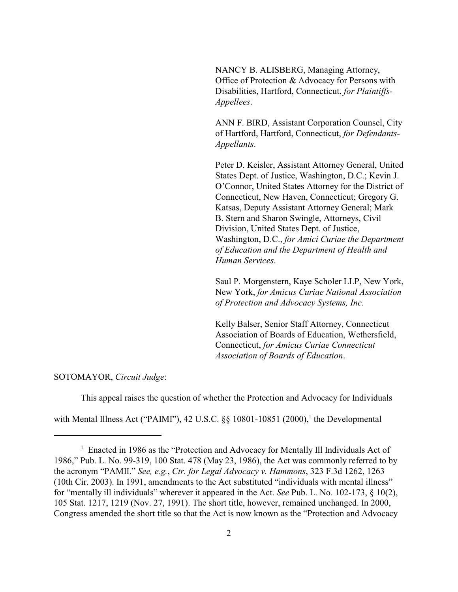NANCY B. ALISBERG, Managing Attorney, Office of Protection & Advocacy for Persons with Disabilities, Hartford, Connecticut, *for Plaintiffs-Appellees*.

ANN F. BIRD, Assistant Corporation Counsel, City of Hartford, Hartford, Connecticut, *for Defendants-Appellants*.

Peter D. Keisler, Assistant Attorney General, United States Dept. of Justice, Washington, D.C.; Kevin J. O'Connor, United States Attorney for the District of Connecticut, New Haven, Connecticut; Gregory G. Katsas, Deputy Assistant Attorney General; Mark B. Stern and Sharon Swingle, Attorneys, Civil Division, United States Dept. of Justice, Washington, D.C., *for Amici Curiae the Department of Education and the Department of Health and Human Services*.

Saul P. Morgenstern, Kaye Scholer LLP, New York, New York, *for Amicus Curiae National Association of Protection and Advocacy Systems, Inc*.

Kelly Balser, Senior Staff Attorney, Connecticut Association of Boards of Education, Wethersfield, Connecticut, *for Amicus Curiae Connecticut Association of Boards of Education*.

SOTOMAYOR, *Circuit Judge*:

This appeal raises the question of whether the Protection and Advocacy for Individuals

with Mental Illness Act ("PAIMI"), 42 U.S.C.  $\S$  10801-10851 (2000),<sup>1</sup> the Developmental

<sup>&</sup>lt;sup>1</sup> Enacted in 1986 as the "Protection and Advocacy for Mentally Ill Individuals Act of 1986," Pub. L. No. 99-319, 100 Stat. 478 (May 23, 1986), the Act was commonly referred to by the acronym "PAMII." *See, e.g.*, *Ctr. for Legal Advocacy v. Hammons*, 323 F.3d 1262, 1263 (10th Cir. 2003). In 1991, amendments to the Act substituted "individuals with mental illness" for "mentally ill individuals" wherever it appeared in the Act. *See* Pub. L. No. 102-173, § 10(2), 105 Stat. 1217, 1219 (Nov. 27, 1991). The short title, however, remained unchanged. In 2000, Congress amended the short title so that the Act is now known as the "Protection and Advocacy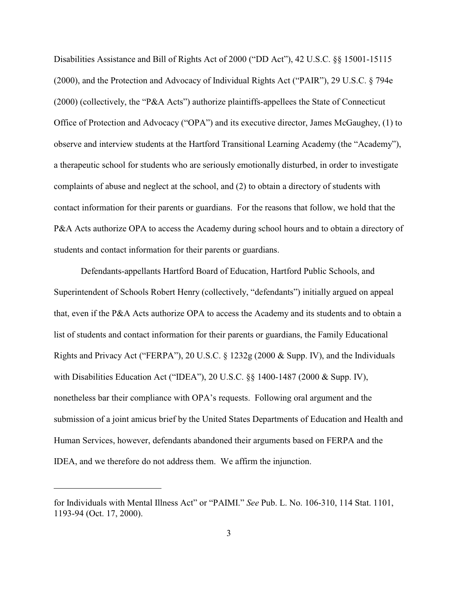Disabilities Assistance and Bill of Rights Act of 2000 ("DD Act"), 42 U.S.C. §§ 15001-15115 (2000), and the Protection and Advocacy of Individual Rights Act ("PAIR"), 29 U.S.C. § 794e (2000) (collectively, the "P&A Acts") authorize plaintiffs-appellees the State of Connecticut Office of Protection and Advocacy ("OPA") and its executive director, James McGaughey, (1) to observe and interview students at the Hartford Transitional Learning Academy (the "Academy"), a therapeutic school for students who are seriously emotionally disturbed, in order to investigate complaints of abuse and neglect at the school, and (2) to obtain a directory of students with contact information for their parents or guardians. For the reasons that follow, we hold that the P&A Acts authorize OPA to access the Academy during school hours and to obtain a directory of students and contact information for their parents or guardians.

Defendants-appellants Hartford Board of Education, Hartford Public Schools, and Superintendent of Schools Robert Henry (collectively, "defendants") initially argued on appeal that, even if the P&A Acts authorize OPA to access the Academy and its students and to obtain a list of students and contact information for their parents or guardians, the Family Educational Rights and Privacy Act ("FERPA"), 20 U.S.C. § 1232g (2000 & Supp. IV), and the Individuals with Disabilities Education Act ("IDEA"), 20 U.S.C. §§ 1400-1487 (2000 & Supp. IV), nonetheless bar their compliance with OPA's requests. Following oral argument and the submission of a joint amicus brief by the United States Departments of Education and Health and Human Services, however, defendants abandoned their arguments based on FERPA and the IDEA, and we therefore do not address them. We affirm the injunction.

for Individuals with Mental Illness Act" or "PAIMI." *See* Pub. L. No. 106-310, 114 Stat. 1101, 1193-94 (Oct. 17, 2000).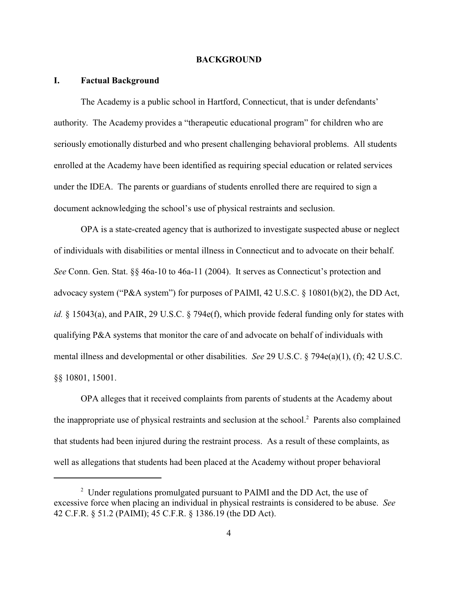#### **BACKGROUND**

#### **I. Factual Background**

The Academy is a public school in Hartford, Connecticut, that is under defendants' authority. The Academy provides a "therapeutic educational program" for children who are seriously emotionally disturbed and who present challenging behavioral problems. All students enrolled at the Academy have been identified as requiring special education or related services under the IDEA. The parents or guardians of students enrolled there are required to sign a document acknowledging the school's use of physical restraints and seclusion.

OPA is a state-created agency that is authorized to investigate suspected abuse or neglect of individuals with disabilities or mental illness in Connecticut and to advocate on their behalf. *See* Conn. Gen. Stat. §§ 46a-10 to 46a-11 (2004). It serves as Connecticut's protection and advocacy system ("P&A system") for purposes of PAIMI, 42 U.S.C. § 10801(b)(2), the DD Act, *id.* § 15043(a), and PAIR, 29 U.S.C. § 794e(f), which provide federal funding only for states with qualifying P&A systems that monitor the care of and advocate on behalf of individuals with mental illness and developmental or other disabilities. *See* 29 U.S.C. § 794e(a)(1), (f); 42 U.S.C. §§ 10801, 15001.

OPA alleges that it received complaints from parents of students at the Academy about the inappropriate use of physical restraints and seclusion at the school.<sup>2</sup> Parents also complained that students had been injured during the restraint process. As a result of these complaints, as well as allegations that students had been placed at the Academy without proper behavioral

 $2$  Under regulations promulgated pursuant to PAIMI and the DD Act, the use of excessive force when placing an individual in physical restraints is considered to be abuse. *See* 42 C.F.R. § 51.2 (PAIMI); 45 C.F.R. § 1386.19 (the DD Act).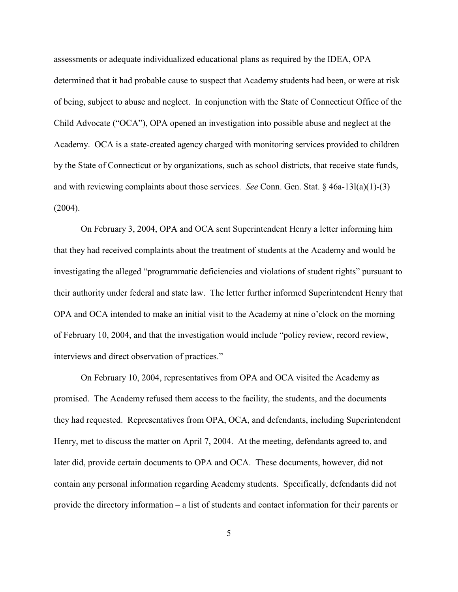assessments or adequate individualized educational plans as required by the IDEA, OPA determined that it had probable cause to suspect that Academy students had been, or were at risk of being, subject to abuse and neglect. In conjunction with the State of Connecticut Office of the Child Advocate ("OCA"), OPA opened an investigation into possible abuse and neglect at the Academy. OCA is a state-created agency charged with monitoring services provided to children by the State of Connecticut or by organizations, such as school districts, that receive state funds, and with reviewing complaints about those services. *See* Conn. Gen. Stat. § 46a-13l(a)(1)-(3) (2004).

On February 3, 2004, OPA and OCA sent Superintendent Henry a letter informing him that they had received complaints about the treatment of students at the Academy and would be investigating the alleged "programmatic deficiencies and violations of student rights" pursuant to their authority under federal and state law. The letter further informed Superintendent Henry that OPA and OCA intended to make an initial visit to the Academy at nine o'clock on the morning of February 10, 2004, and that the investigation would include "policy review, record review, interviews and direct observation of practices."

On February 10, 2004, representatives from OPA and OCA visited the Academy as promised. The Academy refused them access to the facility, the students, and the documents they had requested. Representatives from OPA, OCA, and defendants, including Superintendent Henry, met to discuss the matter on April 7, 2004. At the meeting, defendants agreed to, and later did, provide certain documents to OPA and OCA. These documents, however, did not contain any personal information regarding Academy students. Specifically, defendants did not provide the directory information – a list of students and contact information for their parents or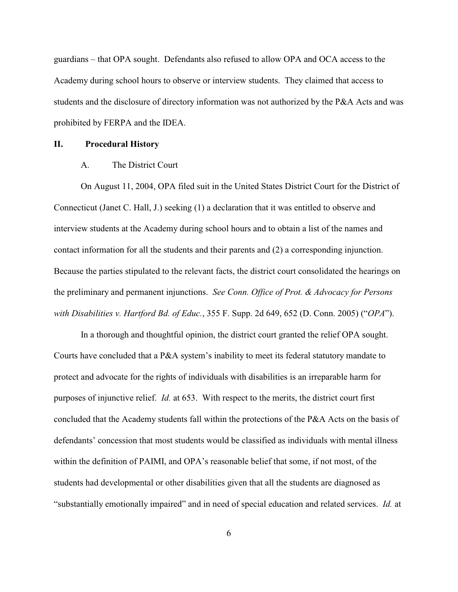guardians – that OPA sought. Defendants also refused to allow OPA and OCA access to the Academy during school hours to observe or interview students. They claimed that access to students and the disclosure of directory information was not authorized by the P&A Acts and was prohibited by FERPA and the IDEA.

#### **II. Procedural History**

# A. The District Court

On August 11, 2004, OPA filed suit in the United States District Court for the District of Connecticut (Janet C. Hall, J.) seeking (1) a declaration that it was entitled to observe and interview students at the Academy during school hours and to obtain a list of the names and contact information for all the students and their parents and (2) a corresponding injunction. Because the parties stipulated to the relevant facts, the district court consolidated the hearings on the preliminary and permanent injunctions. *See Conn. Office of Prot. & Advocacy for Persons with Disabilities v. Hartford Bd. of Educ.*, 355 F. Supp. 2d 649, 652 (D. Conn. 2005) ("*OPA*").

In a thorough and thoughtful opinion, the district court granted the relief OPA sought. Courts have concluded that a P&A system's inability to meet its federal statutory mandate to protect and advocate for the rights of individuals with disabilities is an irreparable harm for purposes of injunctive relief. *Id.* at 653. With respect to the merits, the district court first concluded that the Academy students fall within the protections of the P&A Acts on the basis of defendants' concession that most students would be classified as individuals with mental illness within the definition of PAIMI, and OPA's reasonable belief that some, if not most, of the students had developmental or other disabilities given that all the students are diagnosed as "substantially emotionally impaired" and in need of special education and related services. *Id.* at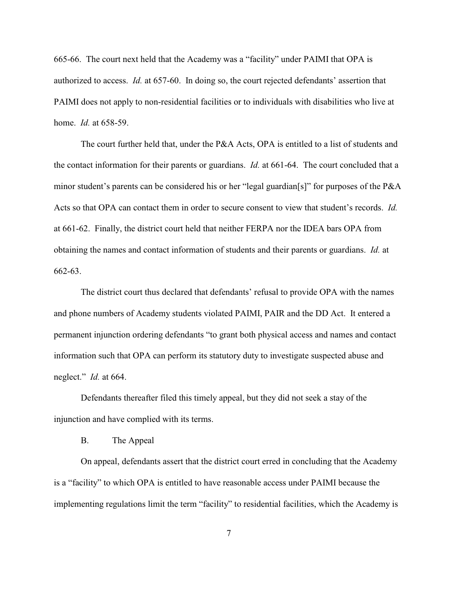665-66. The court next held that the Academy was a "facility" under PAIMI that OPA is authorized to access. *Id.* at 657-60. In doing so, the court rejected defendants' assertion that PAIMI does not apply to non-residential facilities or to individuals with disabilities who live at home. *Id.* at 658-59.

The court further held that, under the P&A Acts, OPA is entitled to a list of students and the contact information for their parents or guardians. *Id.* at 661-64. The court concluded that a minor student's parents can be considered his or her "legal guardian[s]" for purposes of the P&A Acts so that OPA can contact them in order to secure consent to view that student's records. *Id.* at 661-62. Finally, the district court held that neither FERPA nor the IDEA bars OPA from obtaining the names and contact information of students and their parents or guardians. *Id.* at 662-63.

The district court thus declared that defendants' refusal to provide OPA with the names and phone numbers of Academy students violated PAIMI, PAIR and the DD Act. It entered a permanent injunction ordering defendants "to grant both physical access and names and contact information such that OPA can perform its statutory duty to investigate suspected abuse and neglect." *Id.* at 664.

Defendants thereafter filed this timely appeal, but they did not seek a stay of the injunction and have complied with its terms.

B. The Appeal

On appeal, defendants assert that the district court erred in concluding that the Academy is a "facility" to which OPA is entitled to have reasonable access under PAIMI because the implementing regulations limit the term "facility" to residential facilities, which the Academy is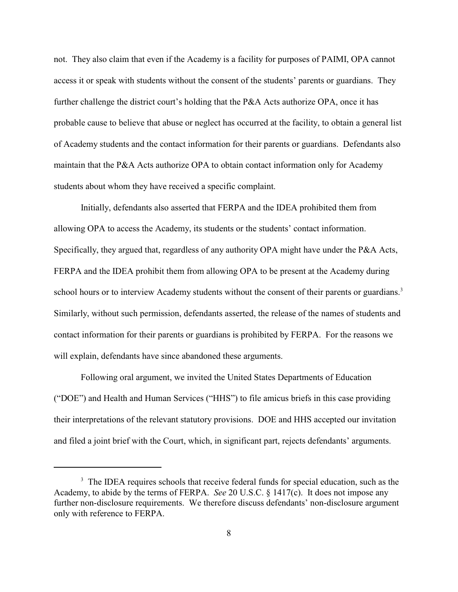not. They also claim that even if the Academy is a facility for purposes of PAIMI, OPA cannot access it or speak with students without the consent of the students' parents or guardians. They further challenge the district court's holding that the P&A Acts authorize OPA, once it has probable cause to believe that abuse or neglect has occurred at the facility, to obtain a general list of Academy students and the contact information for their parents or guardians. Defendants also maintain that the P&A Acts authorize OPA to obtain contact information only for Academy students about whom they have received a specific complaint.

Initially, defendants also asserted that FERPA and the IDEA prohibited them from allowing OPA to access the Academy, its students or the students' contact information. Specifically, they argued that, regardless of any authority OPA might have under the P&A Acts, FERPA and the IDEA prohibit them from allowing OPA to be present at the Academy during school hours or to interview Academy students without the consent of their parents or guardians.<sup>3</sup> Similarly, without such permission, defendants asserted, the release of the names of students and contact information for their parents or guardians is prohibited by FERPA.For the reasons we will explain, defendants have since abandoned these arguments.

Following oral argument, we invited the United States Departments of Education ("DOE") and Health and Human Services ("HHS") to file amicus briefs in this case providing their interpretations of the relevant statutory provisions. DOE and HHS accepted our invitation and filed a joint brief with the Court, which, in significant part, rejects defendants' arguments.

<sup>&</sup>lt;sup>3</sup> The IDEA requires schools that receive federal funds for special education, such as the Academy, to abide by the terms of FERPA. *See* 20 U.S.C. § 1417(c). It does not impose any further non-disclosure requirements. We therefore discuss defendants' non-disclosure argument only with reference to FERPA.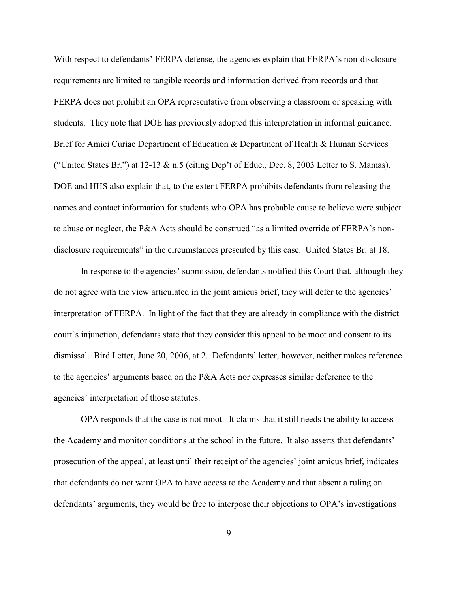With respect to defendants' FERPA defense, the agencies explain that FERPA's non-disclosure requirements are limited to tangible records and information derived from records and that FERPA does not prohibit an OPA representative from observing a classroom or speaking with students. They note that DOE has previously adopted this interpretation in informal guidance. Brief for Amici Curiae Department of Education & Department of Health & Human Services ("United States Br.") at  $12-13 \& n.5$  (citing Dep't of Educ., Dec. 8, 2003 Letter to S. Mamas). DOE and HHS also explain that, to the extent FERPA prohibits defendants from releasing the names and contact information for students who OPA has probable cause to believe were subject to abuse or neglect, the P&A Acts should be construed "as a limited override of FERPA's nondisclosure requirements" in the circumstances presented by this case. United States Br. at 18.

In response to the agencies' submission, defendants notified this Court that, although they do not agree with the view articulated in the joint amicus brief, they will defer to the agencies' interpretation of FERPA. In light of the fact that they are already in compliance with the district court's injunction, defendants state that they consider this appeal to be moot and consent to its dismissal. Bird Letter, June 20, 2006, at 2. Defendants' letter, however, neither makes reference to the agencies' arguments based on the P&A Acts nor expresses similar deference to the agencies' interpretation of those statutes.

OPA responds that the case is not moot. It claims that it still needs the ability to access the Academy and monitor conditions at the school in the future. It also asserts that defendants' prosecution of the appeal, at least until their receipt of the agencies' joint amicus brief, indicates that defendants do not want OPA to have access to the Academy and that absent a ruling on defendants' arguments, they would be free to interpose their objections to OPA's investigations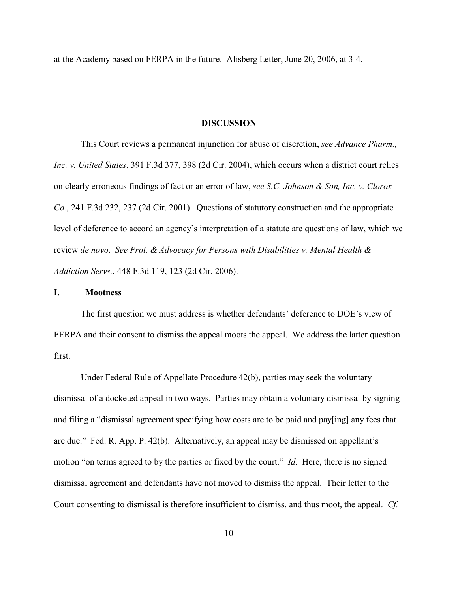at the Academy based on FERPA in the future. Alisberg Letter, June 20, 2006, at 3-4.

## **DISCUSSION**

This Court reviews a permanent injunction for abuse of discretion, *see Advance Pharm., Inc. v. United States*, 391 F.3d 377, 398 (2d Cir. 2004), which occurs when a district court relies on clearly erroneous findings of fact or an error of law, *see S.C. Johnson & Son, Inc. v. Clorox Co.*, 241 F.3d 232, 237 (2d Cir. 2001). Questions of statutory construction and the appropriate level of deference to accord an agency's interpretation of a statute are questions of law, which we review *de novo*. *See Prot. & Advocacy for Persons with Disabilities v. Mental Health & Addiction Servs.*, 448 F.3d 119, 123 (2d Cir. 2006).

## **I. Mootness**

The first question we must address is whether defendants' deference to DOE's view of FERPA and their consent to dismiss the appeal moots the appeal. We address the latter question first.

Under Federal Rule of Appellate Procedure 42(b), parties may seek the voluntary dismissal of a docketed appeal in two ways. Parties may obtain a voluntary dismissal by signing and filing a "dismissal agreement specifying how costs are to be paid and pay[ing] any fees that are due." Fed. R. App. P. 42(b). Alternatively, an appeal may be dismissed on appellant's motion "on terms agreed to by the parties or fixed by the court." *Id.* Here, there is no signed dismissal agreement and defendants have not moved to dismiss the appeal. Their letter to the Court consenting to dismissal is therefore insufficient to dismiss, and thus moot, the appeal. *Cf.*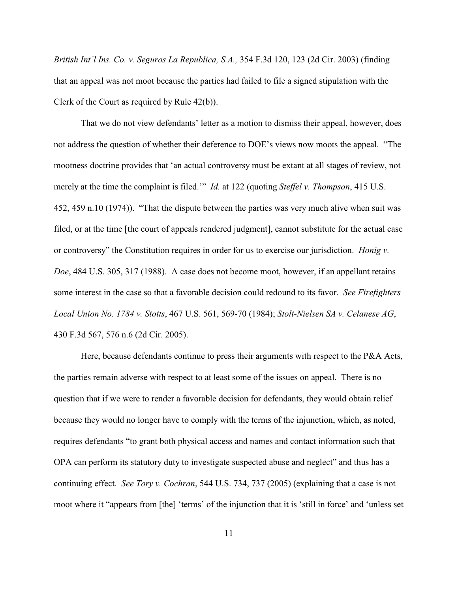*British Int'l Ins. Co. v. Seguros La Republica, S.A.,* 354 F.3d 120, 123 (2d Cir. 2003) (finding that an appeal was not moot because the parties had failed to file a signed stipulation with the Clerk of the Court as required by Rule 42(b)).

That we do not view defendants' letter as a motion to dismiss their appeal, however, does not address the question of whether their deference to DOE's views now moots the appeal. "The mootness doctrine provides that 'an actual controversy must be extant at all stages of review, not merely at the time the complaint is filed.'" *Id.* at 122 (quoting *Steffel v. Thompson*, 415 U.S. 452, 459 n.10 (1974)). "That the dispute between the parties was very much alive when suit was filed, or at the time [the court of appeals rendered judgment], cannot substitute for the actual case or controversy" the Constitution requires in order for us to exercise our jurisdiction. *Honig v. Doe*, 484 U.S. 305, 317 (1988). A case does not become moot, however, if an appellant retains some interest in the case so that a favorable decision could redound to its favor. *See Firefighters Local Union No. 1784 v. Stotts*, 467 U.S. 561, 569-70 (1984); *Stolt-Nielsen SA v. Celanese AG*, 430 F.3d 567, 576 n.6 (2d Cir. 2005).

Here, because defendants continue to press their arguments with respect to the P&A Acts, the parties remain adverse with respect to at least some of the issues on appeal. There is no question that if we were to render a favorable decision for defendants, they would obtain relief because they would no longer have to comply with the terms of the injunction, which, as noted, requires defendants "to grant both physical access and names and contact information such that OPA can perform its statutory duty to investigate suspected abuse and neglect" and thus has a continuing effect. *See Tory v. Cochran*, 544 U.S. 734, 737 (2005) (explaining that a case is not moot where it "appears from [the] 'terms' of the injunction that it is 'still in force' and 'unless set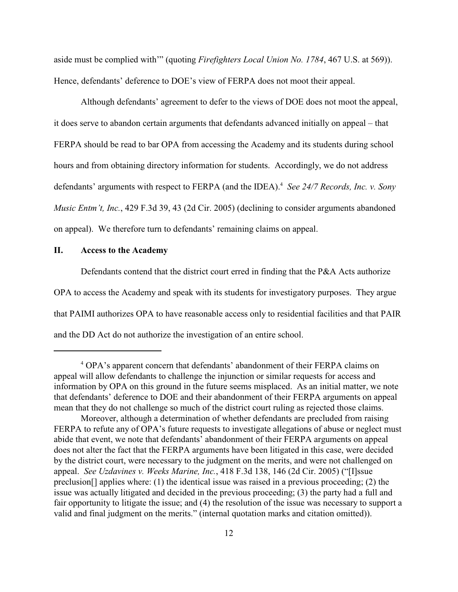aside must be complied with'" (quoting *Firefighters Local Union No. 1784*, 467 U.S. at 569)). Hence, defendants' deference to DOE's view of FERPA does not moot their appeal.

Although defendants' agreement to defer to the views of DOE does not moot the appeal, it does serve to abandon certain arguments that defendants advanced initially on appeal – that FERPA should be read to bar OPA from accessing the Academy and its students during school hours and from obtaining directory information for students. Accordingly, we do not address defendants' arguments with respect to FERPA (and the IDEA).<sup>4</sup> See 24/7 Records, Inc. v. Sony *Music Entm't, Inc.*, 429 F.3d 39, 43 (2d Cir. 2005) (declining to consider arguments abandoned on appeal). We therefore turn to defendants' remaining claims on appeal.

## **II. Access to the Academy**

Defendants contend that the district court erred in finding that the P&A Acts authorize OPA to access the Academy and speak with its students for investigatory purposes. They argue that PAIMI authorizes OPA to have reasonable access only to residential facilities and that PAIR and the DD Act do not authorize the investigation of an entire school.

<sup>&</sup>lt;sup>4</sup> OPA's apparent concern that defendants' abandonment of their FERPA claims on appeal will allow defendants to challenge the injunction or similar requests for access and information by OPA on this ground in the future seems misplaced. As an initial matter, we note that defendants' deference to DOE and their abandonment of their FERPA arguments on appeal mean that they do not challenge so much of the district court ruling as rejected those claims.

Moreover, although a determination of whether defendants are precluded from raising FERPA to refute any of OPA's future requests to investigate allegations of abuse or neglect must abide that event, we note that defendants' abandonment of their FERPA arguments on appeal does not alter the fact that the FERPA arguments have been litigated in this case, were decided by the district court, were necessary to the judgment on the merits, and were not challenged on appeal. *See Uzdavines v. Weeks Marine, Inc.*, 418 F.3d 138, 146 (2d Cir. 2005) ("[I]ssue preclusion[] applies where: (1) the identical issue was raised in a previous proceeding; (2) the issue was actually litigated and decided in the previous proceeding; (3) the party had a full and fair opportunity to litigate the issue; and (4) the resolution of the issue was necessary to support a valid and final judgment on the merits." (internal quotation marks and citation omitted)).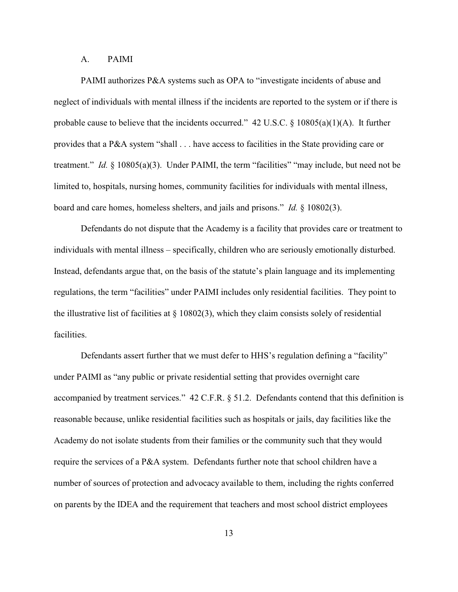## A. PAIMI

PAIMI authorizes P&A systems such as OPA to "investigate incidents of abuse and neglect of individuals with mental illness if the incidents are reported to the system or if there is probable cause to believe that the incidents occurred." 42 U.S.C. § 10805(a)(1)(A). It further provides that a P&A system "shall . . . have access to facilities in the State providing care or treatment." *Id.* § 10805(a)(3). Under PAIMI, the term "facilities" "may include, but need not be limited to, hospitals, nursing homes, community facilities for individuals with mental illness, board and care homes, homeless shelters, and jails and prisons." *Id.* § 10802(3).

Defendants do not dispute that the Academy is a facility that provides care or treatment to individuals with mental illness – specifically, children who are seriously emotionally disturbed. Instead, defendants argue that, on the basis of the statute's plain language and its implementing regulations, the term "facilities" under PAIMI includes only residential facilities. They point to the illustrative list of facilities at  $\S$  10802(3), which they claim consists solely of residential facilities.

Defendants assert further that we must defer to HHS's regulation defining a "facility" under PAIMI as "any public or private residential setting that provides overnight care accompanied by treatment services." 42 C.F.R. § 51.2. Defendants contend that this definition is reasonable because, unlike residential facilities such as hospitals or jails, day facilities like the Academy do not isolate students from their families or the community such that they would require the services of a P&A system. Defendants further note that school children have a number of sources of protection and advocacy available to them, including the rights conferred on parents by the IDEA and the requirement that teachers and most school district employees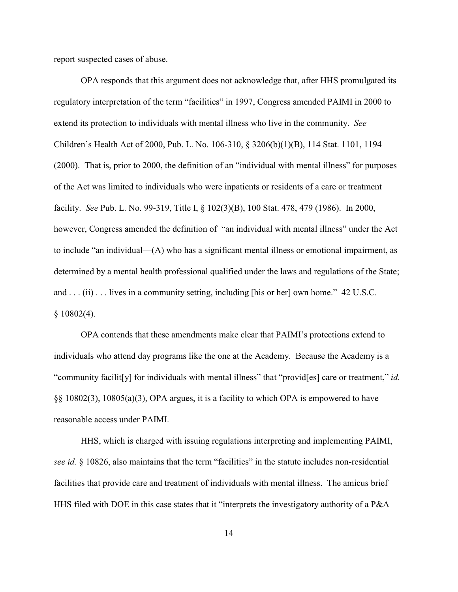report suspected cases of abuse.

OPA responds that this argument does not acknowledge that, after HHS promulgated its regulatory interpretation of the term "facilities" in 1997, Congress amended PAIMI in 2000 to extend its protection to individuals with mental illness who live in the community. *See* Children's Health Act of 2000, Pub. L. No. 106-310, § 3206(b)(1)(B), 114 Stat. 1101, 1194 (2000). That is, prior to 2000, the definition of an "individual with mental illness" for purposes of the Act was limited to individuals who were inpatients or residents of a care or treatment facility. *See* Pub. L. No. 99-319, Title I, § 102(3)(B), 100 Stat. 478, 479 (1986). In 2000, however, Congress amended the definition of "an individual with mental illness" under the Act to include "an individual—(A) who has a significant mental illness or emotional impairment, as determined by a mental health professional qualified under the laws and regulations of the State; and . . . (ii) . . . lives in a community setting, including [his or her] own home." 42 U.S.C.  $$10802(4).$ 

OPA contends that these amendments make clear that PAIMI's protections extend to individuals who attend day programs like the one at the Academy. Because the Academy is a "community facilit[y] for individuals with mental illness" that "provid[es] care or treatment," *id.* §§ 10802(3), 10805(a)(3), OPA argues, it is a facility to which OPA is empowered to have reasonable access under PAIMI.

HHS, which is charged with issuing regulations interpreting and implementing PAIMI, *see id.* § 10826, also maintains that the term "facilities" in the statute includes non-residential facilities that provide care and treatment of individuals with mental illness. The amicus brief HHS filed with DOE in this case states that it "interprets the investigatory authority of a P&A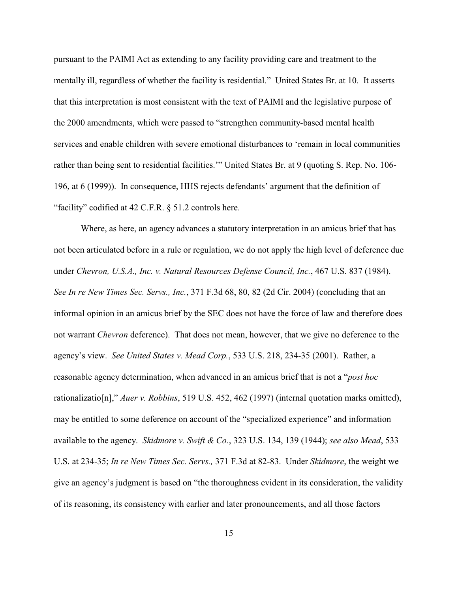pursuant to the PAIMI Act as extending to any facility providing care and treatment to the mentally ill, regardless of whether the facility is residential." United States Br. at 10. It asserts that this interpretation is most consistent with the text of PAIMI and the legislative purpose of the 2000 amendments, which were passed to "strengthen community-based mental health services and enable children with severe emotional disturbances to 'remain in local communities rather than being sent to residential facilities.'" United States Br. at 9 (quoting S. Rep. No. 106- 196, at 6 (1999)). In consequence, HHS rejects defendants' argument that the definition of "facility" codified at 42 C.F.R. § 51.2 controls here.

Where, as here, an agency advances a statutory interpretation in an amicus brief that has not been articulated before in a rule or regulation, we do not apply the high level of deference due under *Chevron, U.S.A., Inc. v. Natural Resources Defense Council, Inc.*, 467 U.S. 837 (1984). *See In re New Times Sec. Servs., Inc.*, 371 F.3d 68, 80, 82 (2d Cir. 2004) (concluding that an informal opinion in an amicus brief by the SEC does not have the force of law and therefore does not warrant *Chevron* deference). That does not mean, however, that we give no deference to the agency's view. *See United States v. Mead Corp.*, 533 U.S. 218, 234-35 (2001). Rather, a reasonable agency determination, when advanced in an amicus brief that is not a "*post hoc* rationalizatio[n]," *Auer v. Robbins*, 519 U.S. 452, 462 (1997) (internal quotation marks omitted), may be entitled to some deference on account of the "specialized experience" and information available to the agency. *Skidmore v. Swift & Co.*, 323 U.S. 134, 139 (1944); *see also Mead*, 533 U.S. at 234-35; *In re New Times Sec. Servs.,* 371 F.3d at 82-83. Under *Skidmore*, the weight we give an agency's judgment is based on "the thoroughness evident in its consideration, the validity of its reasoning, its consistency with earlier and later pronouncements, and all those factors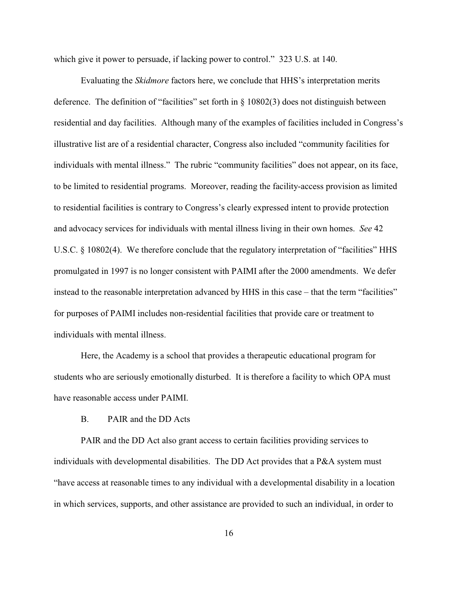which give it power to persuade, if lacking power to control." 323 U.S. at 140.

Evaluating the *Skidmore* factors here, we conclude that HHS's interpretation merits deference. The definition of "facilities" set forth in  $\S$  10802(3) does not distinguish between residential and day facilities. Although many of the examples of facilities included in Congress's illustrative list are of a residential character, Congress also included "community facilities for individuals with mental illness." The rubric "community facilities" does not appear, on its face, to be limited to residential programs. Moreover, reading the facility-access provision as limited to residential facilities is contrary to Congress's clearly expressed intent to provide protection and advocacy services for individuals with mental illness living in their own homes. *See* 42 U.S.C. § 10802(4). We therefore conclude that the regulatory interpretation of "facilities" HHS promulgated in 1997 is no longer consistent with PAIMI after the 2000 amendments. We defer instead to the reasonable interpretation advanced by HHS in this case – that the term "facilities" for purposes of PAIMI includes non-residential facilities that provide care or treatment to individuals with mental illness.

Here, the Academy is a school that provides a therapeutic educational program for students who are seriously emotionally disturbed. It is therefore a facility to which OPA must have reasonable access under PAIMI.

# B. PAIR and the DD Acts

PAIR and the DD Act also grant access to certain facilities providing services to individuals with developmental disabilities. The DD Act provides that a P&A system must "have access at reasonable times to any individual with a developmental disability in a location in which services, supports, and other assistance are provided to such an individual, in order to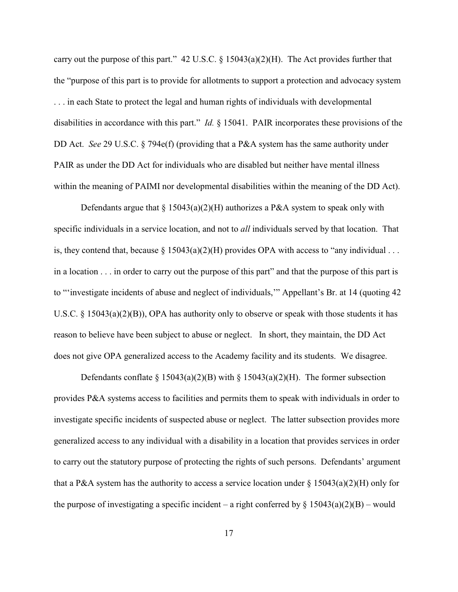carry out the purpose of this part." 42 U.S.C.  $\S$  15043(a)(2)(H). The Act provides further that the "purpose of this part is to provide for allotments to support a protection and advocacy system . . . in each State to protect the legal and human rights of individuals with developmental disabilities in accordance with this part." *Id.* § 15041. PAIR incorporates these provisions of the DD Act. *See* 29 U.S.C. § 794e(f) (providing that a P&A system has the same authority under PAIR as under the DD Act for individuals who are disabled but neither have mental illness within the meaning of PAIMI nor developmental disabilities within the meaning of the DD Act).

Defendants argue that  $\S 15043(a)(2)(H)$  authorizes a P&A system to speak only with specific individuals in a service location, and not to *all* individuals served by that location. That is, they contend that, because  $\S 15043(a)(2)(H)$  provides OPA with access to "any individual ... in a location . . . in order to carry out the purpose of this part" and that the purpose of this part is to "'investigate incidents of abuse and neglect of individuals,'" Appellant's Br. at 14 (quoting 42 U.S.C.  $\S$  15043(a)(2)(B)), OPA has authority only to observe or speak with those students it has reason to believe have been subject to abuse or neglect. In short, they maintain, the DD Act does not give OPA generalized access to the Academy facility and its students. We disagree.

Defendants conflate § 15043(a)(2)(B) with § 15043(a)(2)(H). The former subsection provides P&A systems access to facilities and permits them to speak with individuals in order to investigate specific incidents of suspected abuse or neglect. The latter subsection provides more generalized access to any individual with a disability in a location that provides services in order to carry out the statutory purpose of protecting the rights of such persons. Defendants' argument that a P&A system has the authority to access a service location under  $\S 15043(a)(2)(H)$  only for the purpose of investigating a specific incident – a right conferred by  $\S 15043(a)(2)(B)$  – would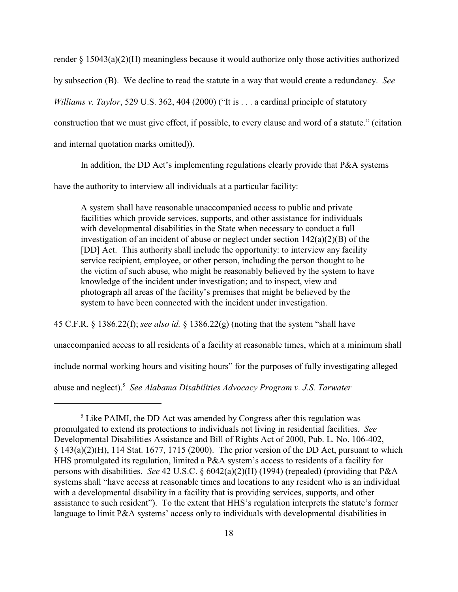render  $\S 15043(a)(2)(H)$  meaningless because it would authorize only those activities authorized by subsection (B). We decline to read the statute in a way that would create a redundancy. *See Williams v. Taylor*, 529 U.S. 362, 404 (2000) ("It is . . . a cardinal principle of statutory construction that we must give effect, if possible, to every clause and word of a statute." (citation and internal quotation marks omitted)).

In addition, the DD Act's implementing regulations clearly provide that P&A systems

have the authority to interview all individuals at a particular facility:

A system shall have reasonable unaccompanied access to public and private facilities which provide services, supports, and other assistance for individuals with developmental disabilities in the State when necessary to conduct a full investigation of an incident of abuse or neglect under section 142(a)(2)(B) of the [DD] Act. This authority shall include the opportunity: to interview any facility service recipient, employee, or other person, including the person thought to be the victim of such abuse, who might be reasonably believed by the system to have knowledge of the incident under investigation; and to inspect, view and photograph all areas of the facility's premises that might be believed by the system to have been connected with the incident under investigation.

45 C.F.R. § 1386.22(f); *see also id.* § 1386.22(g) (noting that the system "shall have

unaccompanied access to all residents of a facility at reasonable times, which at a minimum shall

include normal working hours and visiting hours" for the purposes of fully investigating alleged

abuse and neglect). *See Alabama Disabilities Advocacy Program v. J.S. Tarwater* <sup>5</sup>

 $<sup>5</sup>$  Like PAIMI, the DD Act was amended by Congress after this regulation was</sup> promulgated to extend its protections to individuals not living in residential facilities. *See* Developmental Disabilities Assistance and Bill of Rights Act of 2000, Pub. L. No. 106-402,  $\S$  143(a)(2)(H), 114 Stat. 1677, 1715 (2000). The prior version of the DD Act, pursuant to which HHS promulgated its regulation, limited a P&A system's access to residents of a facility for persons with disabilities. *See* 42 U.S.C. § 6042(a)(2)(H) (1994) (repealed) (providing that P&A systems shall "have access at reasonable times and locations to any resident who is an individual with a developmental disability in a facility that is providing services, supports, and other assistance to such resident"). To the extent that HHS's regulation interprets the statute's former language to limit P&A systems' access only to individuals with developmental disabilities in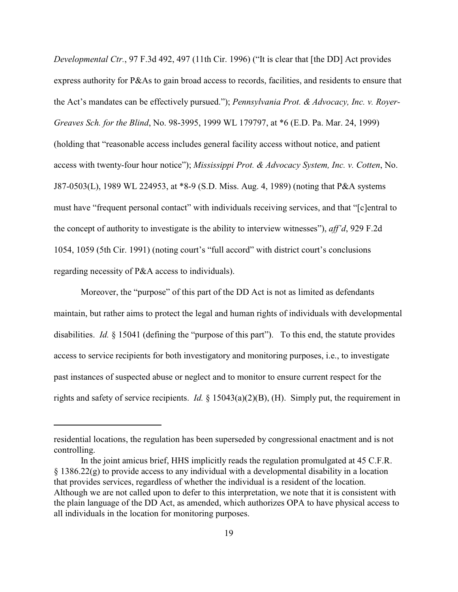*Developmental Ctr.*, 97 F.3d 492, 497 (11th Cir. 1996) ("It is clear that [the DD] Act provides express authority for P&As to gain broad access to records, facilities, and residents to ensure that the Act's mandates can be effectively pursued."); *Pennsylvania Prot. & Advocacy, Inc. v. Royer-Greaves Sch. for the Blind*, No. 98-3995, 1999 WL 179797, at \*6 (E.D. Pa. Mar. 24, 1999) (holding that "reasonable access includes general facility access without notice, and patient access with twenty-four hour notice"); *Mississippi Prot. & Advocacy System, Inc. v. Cotten*, No. J87-0503(L), 1989 WL 224953, at \*8-9 (S.D. Miss. Aug. 4, 1989) (noting that P&A systems must have "frequent personal contact" with individuals receiving services, and that "[c]entral to the concept of authority to investigate is the ability to interview witnesses"), *aff'd*, 929 F.2d 1054, 1059 (5th Cir. 1991) (noting court's "full accord" with district court's conclusions regarding necessity of P&A access to individuals).

Moreover, the "purpose" of this part of the DD Act is not as limited as defendants maintain, but rather aims to protect the legal and human rights of individuals with developmental disabilities. *Id.* § 15041 (defining the "purpose of this part"). To this end, the statute provides access to service recipients for both investigatory and monitoring purposes, i.e., to investigate past instances of suspected abuse or neglect and to monitor to ensure current respect for the rights and safety of service recipients. *Id.* § 15043(a)(2)(B), (H). Simply put, the requirement in

residential locations, the regulation has been superseded by congressional enactment and is not controlling.

In the joint amicus brief, HHS implicitly reads the regulation promulgated at 45 C.F.R.  $\S$  1386.22(g) to provide access to any individual with a developmental disability in a location that provides services, regardless of whether the individual is a resident of the location. Although we are not called upon to defer to this interpretation, we note that it is consistent with the plain language of the DD Act, as amended, which authorizes OPA to have physical access to all individuals in the location for monitoring purposes.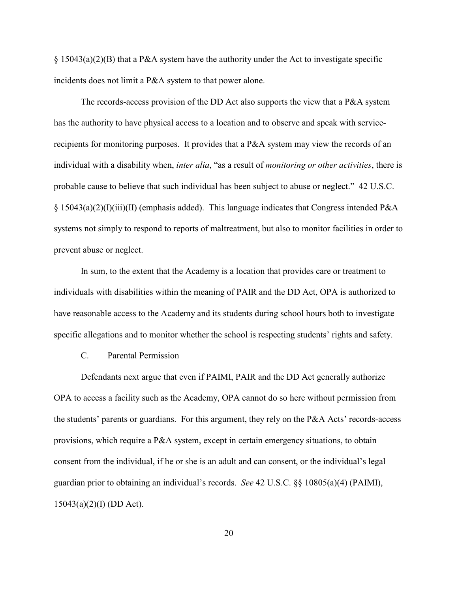§ 15043(a)(2)(B) that a P&A system have the authority under the Act to investigate specific incidents does not limit a P&A system to that power alone.

The records-access provision of the DD Act also supports the view that a P&A system has the authority to have physical access to a location and to observe and speak with servicerecipients for monitoring purposes. It provides that a P&A system may view the records of an individual with a disability when, *inter alia*, "as a result of *monitoring or other activities*, there is probable cause to believe that such individual has been subject to abuse or neglect." 42 U.S.C. § 15043(a)(2)(I)(iii)(II) (emphasis added). This language indicates that Congress intended P&A systems not simply to respond to reports of maltreatment, but also to monitor facilities in order to prevent abuse or neglect.

In sum, to the extent that the Academy is a location that provides care or treatment to individuals with disabilities within the meaning of PAIR and the DD Act, OPA is authorized to have reasonable access to the Academy and its students during school hours both to investigate specific allegations and to monitor whether the school is respecting students' rights and safety.

C. Parental Permission

Defendants next argue that even if PAIMI, PAIR and the DD Act generally authorize OPA to access a facility such as the Academy, OPA cannot do so here without permission from the students' parents or guardians. For this argument, they rely on the P&A Acts' records-access provisions, which require a P&A system, except in certain emergency situations, to obtain consent from the individual, if he or she is an adult and can consent, or the individual's legal guardian prior to obtaining an individual's records. *See* 42 U.S.C. §§ 10805(a)(4) (PAIMI), 15043(a)(2)(I) (DD Act).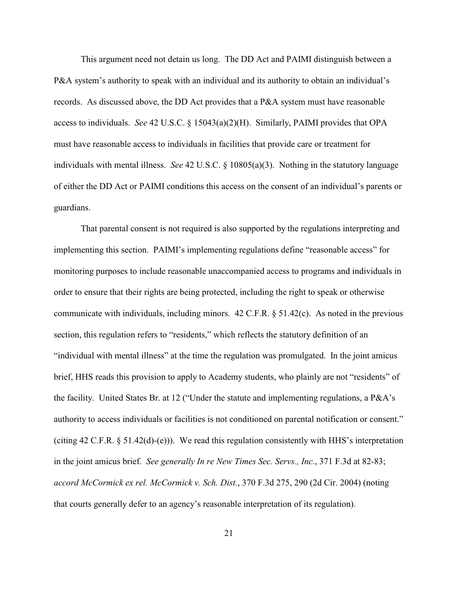This argument need not detain us long. The DD Act and PAIMI distinguish between a P&A system's authority to speak with an individual and its authority to obtain an individual's records. As discussed above, the DD Act provides that a P&A system must have reasonable access to individuals. *See* 42 U.S.C. § 15043(a)(2)(H). Similarly, PAIMI provides that OPA must have reasonable access to individuals in facilities that provide care or treatment for individuals with mental illness. *See* 42 U.S.C. § 10805(a)(3). Nothing in the statutory language of either the DD Act or PAIMI conditions this access on the consent of an individual's parents or guardians.

That parental consent is not required is also supported by the regulations interpreting and implementing this section. PAIMI's implementing regulations define "reasonable access" for monitoring purposes to include reasonable unaccompanied access to programs and individuals in order to ensure that their rights are being protected, including the right to speak or otherwise communicate with individuals, including minors. 42 C.F.R. § 51.42(c). As noted in the previous section, this regulation refers to "residents," which reflects the statutory definition of an "individual with mental illness" at the time the regulation was promulgated. In the joint amicus brief, HHS reads this provision to apply to Academy students, who plainly are not "residents" of the facility. United States Br. at 12 ("Under the statute and implementing regulations, a P&A's authority to access individuals or facilities is not conditioned on parental notification or consent." (citing 42 C.F.R. § 51.42(d)-(e))). We read this regulation consistently with HHS's interpretation in the joint amicus brief. *See generally In re New Times Sec. Servs., Inc.*, 371 F.3d at 82-83; *accord McCormick ex rel. McCormick v. Sch. Dist.*, 370 F.3d 275, 290 (2d Cir. 2004) (noting that courts generally defer to an agency's reasonable interpretation of its regulation).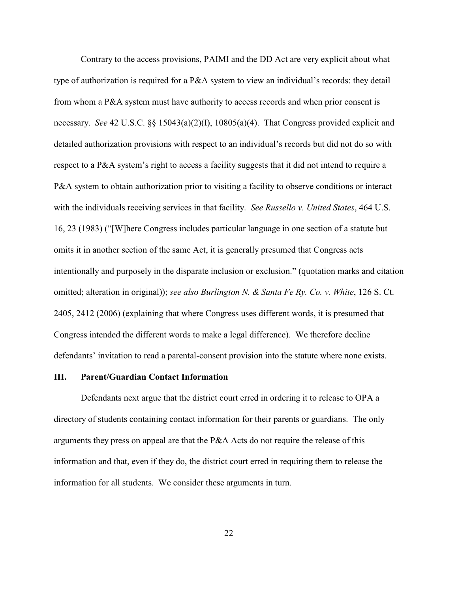Contrary to the access provisions, PAIMI and the DD Act are very explicit about what type of authorization is required for a P&A system to view an individual's records: they detail from whom a P&A system must have authority to access records and when prior consent is necessary. *See* 42 U.S.C. §§ 15043(a)(2)(I), 10805(a)(4). That Congress provided explicit and detailed authorization provisions with respect to an individual's records but did not do so with respect to a P&A system's right to access a facility suggests that it did not intend to require a P&A system to obtain authorization prior to visiting a facility to observe conditions or interact with the individuals receiving services in that facility. *See Russello v. United States*, 464 U.S. 16, 23 (1983) ("[W]here Congress includes particular language in one section of a statute but omits it in another section of the same Act, it is generally presumed that Congress acts intentionally and purposely in the disparate inclusion or exclusion." (quotation marks and citation omitted; alteration in original)); *see also Burlington N. & Santa Fe Ry. Co. v. White*, 126 S. Ct. 2405, 2412 (2006) (explaining that where Congress uses different words, it is presumed that Congress intended the different words to make a legal difference). We therefore decline defendants' invitation to read a parental-consent provision into the statute where none exists.

## **III. Parent/Guardian Contact Information**

Defendants next argue that the district court erred in ordering it to release to OPA a directory of students containing contact information for their parents or guardians. The only arguments they press on appeal are that the P&A Acts do not require the release of this information and that, even if they do, the district court erred in requiring them to release the information for all students. We consider these arguments in turn.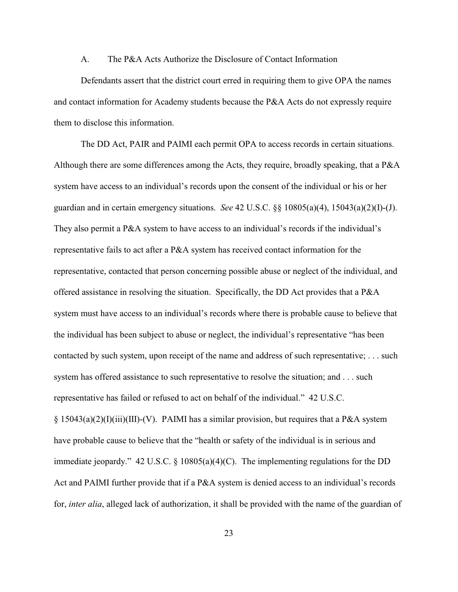### A. The P&A Acts Authorize the Disclosure of Contact Information

Defendants assert that the district court erred in requiring them to give OPA the names and contact information for Academy students because the P&A Acts do not expressly require them to disclose this information.

The DD Act, PAIR and PAIMI each permit OPA to access records in certain situations. Although there are some differences among the Acts, they require, broadly speaking, that a P&A system have access to an individual's records upon the consent of the individual or his or her guardian and in certain emergency situations. *See* 42 U.S.C. §§ 10805(a)(4), 15043(a)(2)(I)-(J). They also permit a P&A system to have access to an individual's records if the individual's representative fails to act after a P&A system has received contact information for the representative, contacted that person concerning possible abuse or neglect of the individual, and offered assistance in resolving the situation. Specifically, the DD Act provides that a P&A system must have access to an individual's records where there is probable cause to believe that the individual has been subject to abuse or neglect, the individual's representative "has been contacted by such system, upon receipt of the name and address of such representative; . . . such system has offered assistance to such representative to resolve the situation; and . . . such representative has failed or refused to act on behalf of the individual." 42 U.S.C.  $\S$  15043(a)(2)(I)(iii)(III)-(V). PAIMI has a similar provision, but requires that a P&A system have probable cause to believe that the "health or safety of the individual is in serious and immediate jeopardy." 42 U.S.C.  $\S$  10805(a)(4)(C). The implementing regulations for the DD Act and PAIMI further provide that if a P&A system is denied access to an individual's records for, *inter alia*, alleged lack of authorization, it shall be provided with the name of the guardian of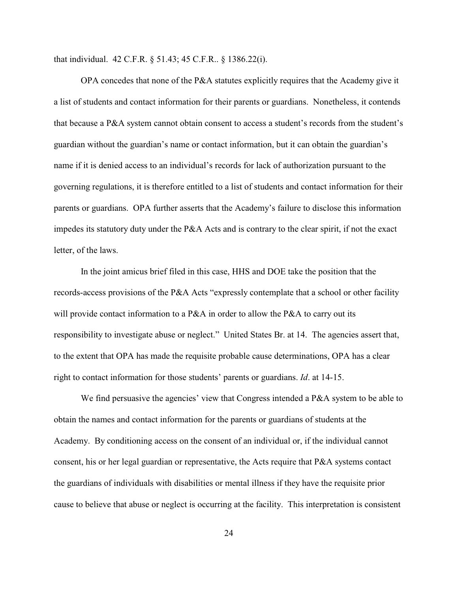that individual. 42 C.F.R. § 51.43; 45 C.F.R.. § 1386.22(i).

OPA concedes that none of the P&A statutes explicitly requires that the Academy give it a list of students and contact information for their parents or guardians. Nonetheless, it contends that because a P&A system cannot obtain consent to access a student's records from the student's guardian without the guardian's name or contact information, but it can obtain the guardian's name if it is denied access to an individual's records for lack of authorization pursuant to the governing regulations, it is therefore entitled to a list of students and contact information for their parents or guardians. OPA further asserts that the Academy's failure to disclose this information impedes its statutory duty under the P&A Acts and is contrary to the clear spirit, if not the exact letter, of the laws.

In the joint amicus brief filed in this case, HHS and DOE take the position that the records-access provisions of the P&A Acts "expressly contemplate that a school or other facility will provide contact information to a P&A in order to allow the P&A to carry out its responsibility to investigate abuse or neglect." United States Br. at 14. The agencies assert that, to the extent that OPA has made the requisite probable cause determinations, OPA has a clear right to contact information for those students' parents or guardians. *Id*. at 14-15.

We find persuasive the agencies' view that Congress intended a P&A system to be able to obtain the names and contact information for the parents or guardians of students at the Academy. By conditioning access on the consent of an individual or, if the individual cannot consent, his or her legal guardian or representative, the Acts require that P&A systems contact the guardians of individuals with disabilities or mental illness if they have the requisite prior cause to believe that abuse or neglect is occurring at the facility. This interpretation is consistent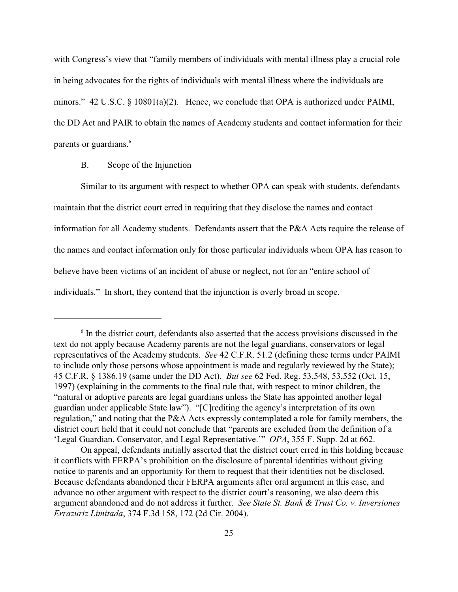with Congress's view that "family members of individuals with mental illness play a crucial role in being advocates for the rights of individuals with mental illness where the individuals are minors." 42 U.S.C. § 10801(a)(2). Hence, we conclude that OPA is authorized under PAIMI, the DD Act and PAIR to obtain the names of Academy students and contact information for their parents or guardians. 6

## B. Scope of the Injunction

Similar to its argument with respect to whether OPA can speak with students, defendants maintain that the district court erred in requiring that they disclose the names and contact information for all Academy students. Defendants assert that the P&A Acts require the release of the names and contact information only for those particular individuals whom OPA has reason to believe have been victims of an incident of abuse or neglect, not for an "entire school of individuals." In short, they contend that the injunction is overly broad in scope.

 $6$  In the district court, defendants also asserted that the access provisions discussed in the text do not apply because Academy parents are not the legal guardians, conservators or legal representatives of the Academy students. *See* 42 C.F.R. 51.2 (defining these terms under PAIMI to include only those persons whose appointment is made and regularly reviewed by the State); 45 C.F.R. § 1386.19 (same under the DD Act). *But see* 62 Fed. Reg. 53,548, 53,552 (Oct. 15, 1997) (explaining in the comments to the final rule that, with respect to minor children, the "natural or adoptive parents are legal guardians unless the State has appointed another legal guardian under applicable State law"). "[C]rediting the agency's interpretation of its own regulation," and noting that the P&A Acts expressly contemplated a role for family members, the district court held that it could not conclude that "parents are excluded from the definition of a 'Legal Guardian, Conservator, and Legal Representative.'" *OPA*, 355 F. Supp. 2d at 662.

On appeal, defendants initially asserted that the district court erred in this holding because it conflicts with FERPA's prohibition on the disclosure of parental identities without giving notice to parents and an opportunity for them to request that their identities not be disclosed. Because defendants abandoned their FERPA arguments after oral argument in this case, and advance no other argument with respect to the district court's reasoning, we also deem this argument abandoned and do not address it further. *See State St. Bank & Trust Co. v. Inversiones Errazuriz Limitada*, 374 F.3d 158, 172 (2d Cir. 2004).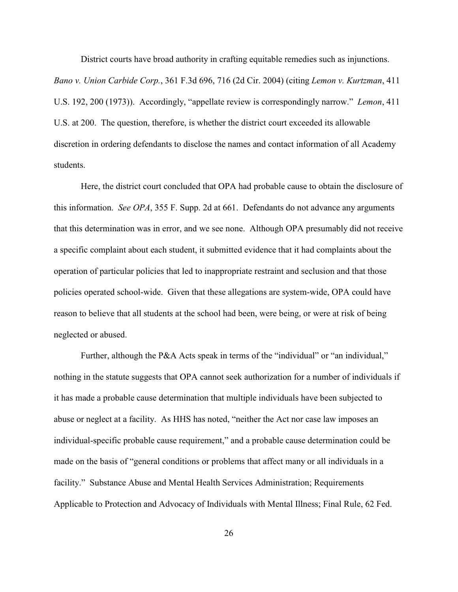District courts have broad authority in crafting equitable remedies such as injunctions.

*Bano v. Union Carbide Corp.*, 361 F.3d 696, 716 (2d Cir. 2004) (citing *Lemon v. Kurtzman*, 411 U.S. 192, 200 (1973)). Accordingly, "appellate review is correspondingly narrow." *Lemon*, 411 U.S. at 200. The question, therefore, is whether the district court exceeded its allowable discretion in ordering defendants to disclose the names and contact information of all Academy students.

Here, the district court concluded that OPA had probable cause to obtain the disclosure of this information. *See OPA*, 355 F. Supp. 2d at 661. Defendants do not advance any arguments that this determination was in error, and we see none. Although OPA presumably did not receive a specific complaint about each student, it submitted evidence that it had complaints about the operation of particular policies that led to inappropriate restraint and seclusion and that those policies operated school-wide. Given that these allegations are system-wide, OPA could have reason to believe that all students at the school had been, were being, or were at risk of being neglected or abused.

Further, although the P&A Acts speak in terms of the "individual" or "an individual," nothing in the statute suggests that OPA cannot seek authorization for a number of individuals if it has made a probable cause determination that multiple individuals have been subjected to abuse or neglect at a facility. As HHS has noted, "neither the Act nor case law imposes an individual-specific probable cause requirement," and a probable cause determination could be made on the basis of "general conditions or problems that affect many or all individuals in a facility." Substance Abuse and Mental Health Services Administration; Requirements Applicable to Protection and Advocacy of Individuals with Mental Illness; Final Rule, 62 Fed.